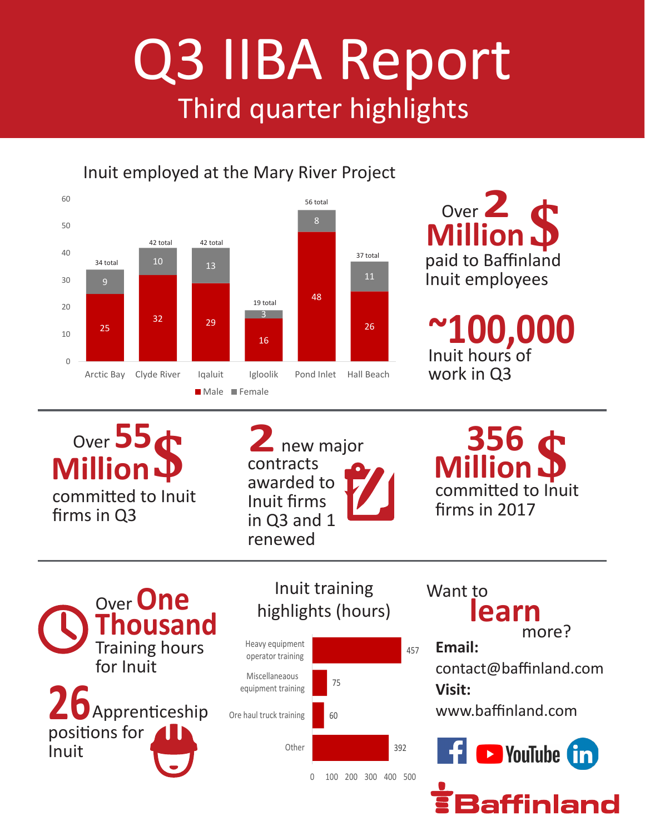## Q3 IIBA Report Third quarter highlights

Inuit employed at the Mary River Project



paid to Baffinland Inuit employees Over **2**<br> **Million D** 

Inuit hours of work in Q3 **~100,000**

Over 55<sup>t</sup> committed to Inuit firms in Q3 **Million\$**

contracts awarded to Inuit firms in Q3 and 1 renewed

committed to Inuit firms in 2017 **2** new major<br>
contracts<br>
awarded to **P** 

**26** Apprenticeship **Thousand** Training hours for Inuit Over **One** Inuit training positions for Inuit



highlights (hours)

**Email: learn** more? Want to

contact@baffinland.com **Visit:**

www.baffinland.com



affinland